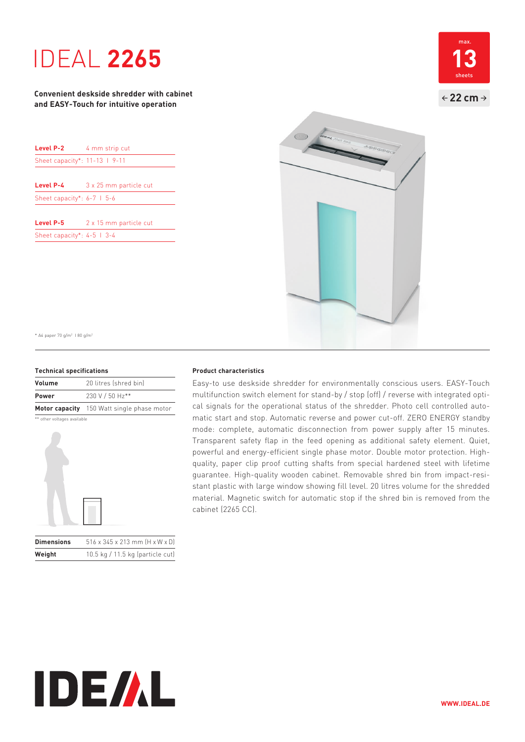# **1DEAL 2265**

### **Convenient deskside shredder with cabinet and EASY-Touch for intuitive operation**

| Level P-2                      | 4 mm strip cut         |
|--------------------------------|------------------------|
| Sheet capacity*: 11-13   9-11  |                        |
| Level P-4                      | 3 x 25 mm particle cut |
| Sheet capacity*: $6-7$   $5-6$ |                        |
| Level P-5                      | 2 x 15 mm particle cut |
| Sheet capacity*: $4-5$   3-4   |                        |





\* A4 paper 70 g/m2 I 80 g/m2

#### **Technical specifications**

| Volume       | 20 litres (shred bin)                      |
|--------------|--------------------------------------------|
| <b>Power</b> | 230 V / 50 Hz**                            |
|              | Motor capacity 150 Watt single phase motor |

\*\* other voltages available



| <b>Dimensions</b> | $516 \times 345 \times 213$ mm $[H \times W \times D]$ |
|-------------------|--------------------------------------------------------|
| Weight            | 10.5 kg / 11.5 kg (particle cut)                       |

#### **Product characteristics**

Easy-to use deskside shredder for environmentally conscious users. EASY-Touch multifunction switch element for stand-by / stop (off) / reverse with integrated optical signals for the operational status of the shredder. Photo cell controlled automatic start and stop. Automatic reverse and power cut-off. ZERO ENERGY standby mode: complete, automatic disconnection from power supply after 15 minutes. Transparent safety flap in the feed opening as additional safety element. Quiet, powerful and energy-efficient single phase motor. Double motor protection. Highquality, paper clip proof cutting shafts from special hardened steel with lifetime guarantee. High-quality wooden cabinet. Removable shred bin from impact-resistant plastic with large window showing fill level. 20 litres volume for the shredded material. Magnetic switch for automatic stop if the shred bin is removed from the cabinet (2265 CC).